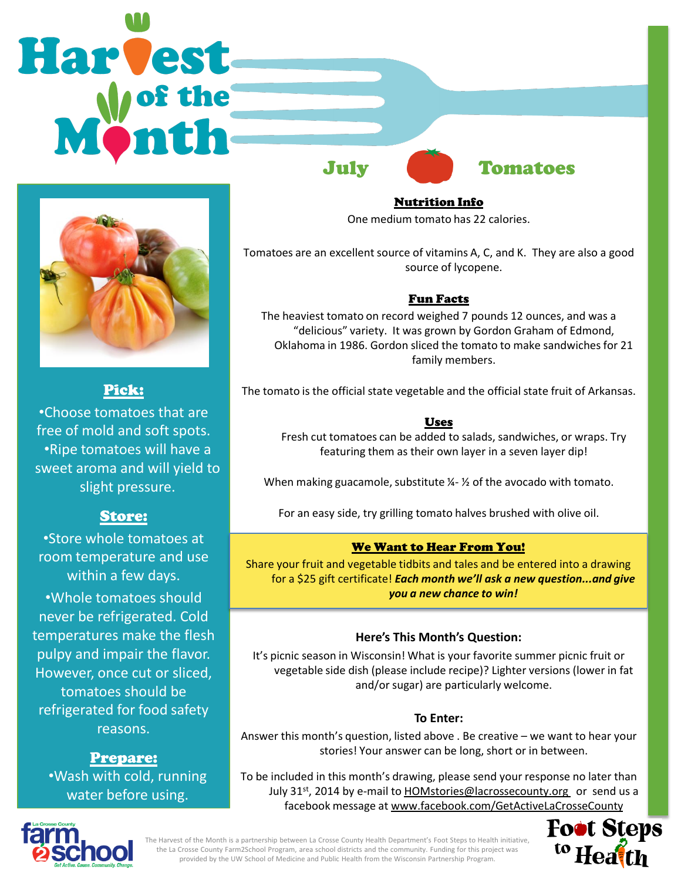



## Pick:

•Choose tomatoes that are free of mold and soft spots. •Ripe tomatoes will have a sweet aroma and will yield to slight pressure.

## Store:

•Store whole tomatoes at room temperature and use within a few days. •Whole tomatoes should never be refrigerated. Cold temperatures make the flesh pulpy and impair the flavor. However, once cut or sliced, tomatoes should be refrigerated for food safety reasons.

Prepare: •Wash with cold, running water before using.

Nutrition Info One medium tomato has 22 calories.

Tomatoes are an excellent source of vitamins A, C, and K. They are also a good source of lycopene.

## Fun Facts

The heaviest tomato on record weighed 7 pounds 12 ounces, and was a "delicious" variety. It was grown by Gordon Graham of Edmond, Oklahoma in 1986. Gordon sliced the tomato to make sandwiches for 21 family members.

The tomato is the official state vegetable and the official state fruit of Arkansas.

## Uses

Fresh cut tomatoes can be added to salads, sandwiches, or wraps. Try featuring them as their own layer in a seven layer dip!

When making guacamole, substitute  $\frac{1}{2}$  of the avocado with tomato.

For an easy side, try grilling tomato halves brushed with olive oil.

## We Want to Hear From You!

Share your fruit and vegetable tidbits and tales and be entered into a drawing for a \$25 gift certificate! *Each month we'll ask a new question...and give you a new chance to win!* 

#### **Here's This Month's Question:**

It's picnic season in Wisconsin! What is your favorite summer picnic fruit or vegetable side dish (please include recipe)? Lighter versions (lower in fat and/or sugar) are particularly welcome.

#### **To Enter:**

Answer this month's question, listed above . Be creative – we want to hear your stories! Your answer can be long, short or in between.

To be included in this month's drawing, please send your response no later than July 31<sup>st</sup>, 2014 by e-mail to HOMstories@lacrossecounty.org or send us a facebook message at www.facebook.com/GetActiveLaCrosseCounty





The Harvest of the Month is a partnership between La Crosse County Health Department's Foot Steps to Health initiative, the La Crosse County Farm2School Program, area school districts and the community. Funding for this project was provided by the UW School of Medicine and Public Health from the Wisconsin Partnership Program.